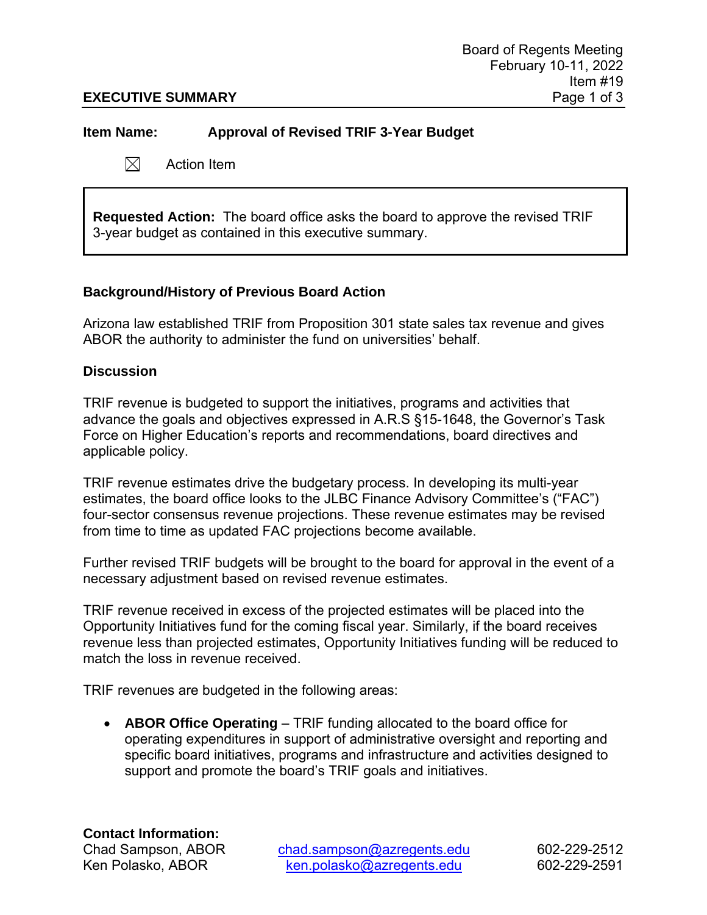### **Item Name: Approval of Revised TRIF 3-Year Budget**

 $\boxtimes$ Action Item

**Requested Action:** The board office asks the board to approve the revised TRIF 3-year budget as contained in this executive summary.

### **Background/History of Previous Board Action**

Arizona law established TRIF from Proposition 301 state sales tax revenue and gives ABOR the authority to administer the fund on universities' behalf.

### **Discussion**

TRIF revenue is budgeted to support the initiatives, programs and activities that advance the goals and objectives expressed in A.R.S §15-1648, the Governor's Task Force on Higher Education's reports and recommendations, board directives and applicable policy.

TRIF revenue estimates drive the budgetary process. In developing its multi-year estimates, the board office looks to the JLBC Finance Advisory Committee's ("FAC") four-sector consensus revenue projections. These revenue estimates may be revised from time to time as updated FAC projections become available.

Further revised TRIF budgets will be brought to the board for approval in the event of a necessary adjustment based on revised revenue estimates.

TRIF revenue received in excess of the projected estimates will be placed into the Opportunity Initiatives fund for the coming fiscal year. Similarly, if the board receives revenue less than projected estimates, Opportunity Initiatives funding will be reduced to match the loss in revenue received.

TRIF revenues are budgeted in the following areas:

• **ABOR Office Operating** – TRIF funding allocated to the board office for operating expenditures in support of administrative oversight and reporting and specific board initiatives, programs and infrastructure and activities designed to support and promote the board's TRIF goals and initiatives.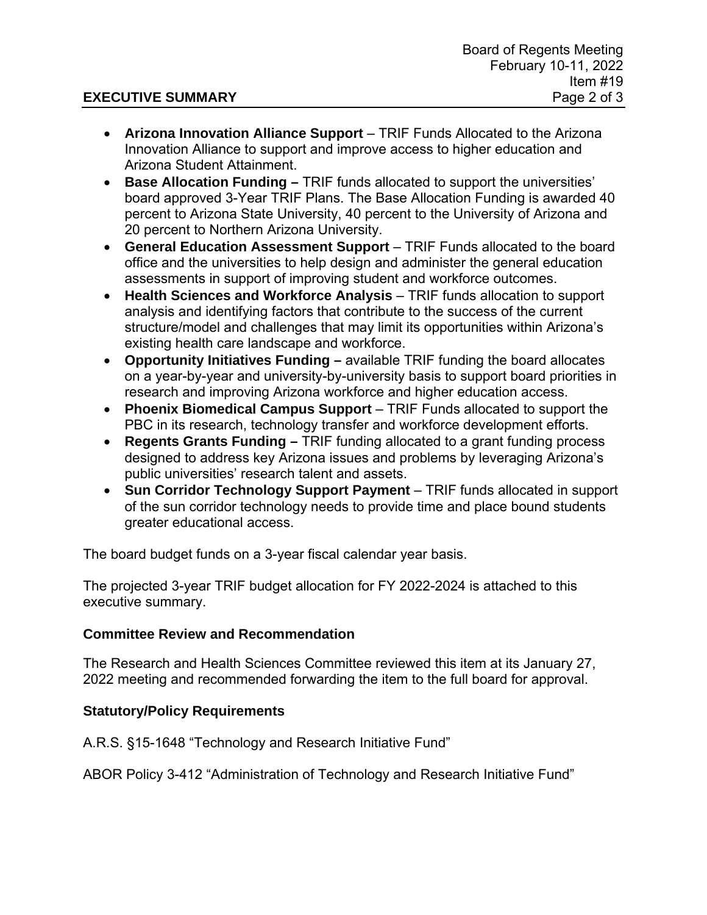- **Arizona Innovation Alliance Support** TRIF Funds Allocated to the Arizona Innovation Alliance to support and improve access to higher education and Arizona Student Attainment.
- **Base Allocation Funding** TRIF funds allocated to support the universities' board approved 3-Year TRIF Plans. The Base Allocation Funding is awarded 40 percent to Arizona State University, 40 percent to the University of Arizona and 20 percent to Northern Arizona University.
- **General Education Assessment Support** TRIF Funds allocated to the board office and the universities to help design and administer the general education assessments in support of improving student and workforce outcomes.
- **Health Sciences and Workforce Analysis**  TRIF funds allocation to support analysis and identifying factors that contribute to the success of the current structure/model and challenges that may limit its opportunities within Arizona's existing health care landscape and workforce.
- **Opportunity Initiatives Funding** available TRIF funding the board allocates on a year-by-year and university-by-university basis to support board priorities in research and improving Arizona workforce and higher education access.
- **Phoenix Biomedical Campus Support** TRIF Funds allocated to support the PBC in its research, technology transfer and workforce development efforts.
- **Regents Grants Funding** TRIF funding allocated to a grant funding process designed to address key Arizona issues and problems by leveraging Arizona's public universities' research talent and assets.
- **Sun Corridor Technology Support Payment** TRIF funds allocated in support of the sun corridor technology needs to provide time and place bound students greater educational access.

The board budget funds on a 3-year fiscal calendar year basis.

The projected 3-year TRIF budget allocation for FY 2022-2024 is attached to this executive summary.

## **Committee Review and Recommendation**

The Research and Health Sciences Committee reviewed this item at its January 27, 2022 meeting and recommended forwarding the item to the full board for approval.

### **Statutory/Policy Requirements**

A.R.S. §15-1648 "Technology and Research Initiative Fund"

ABOR Policy 3-412 "Administration of Technology and Research Initiative Fund"